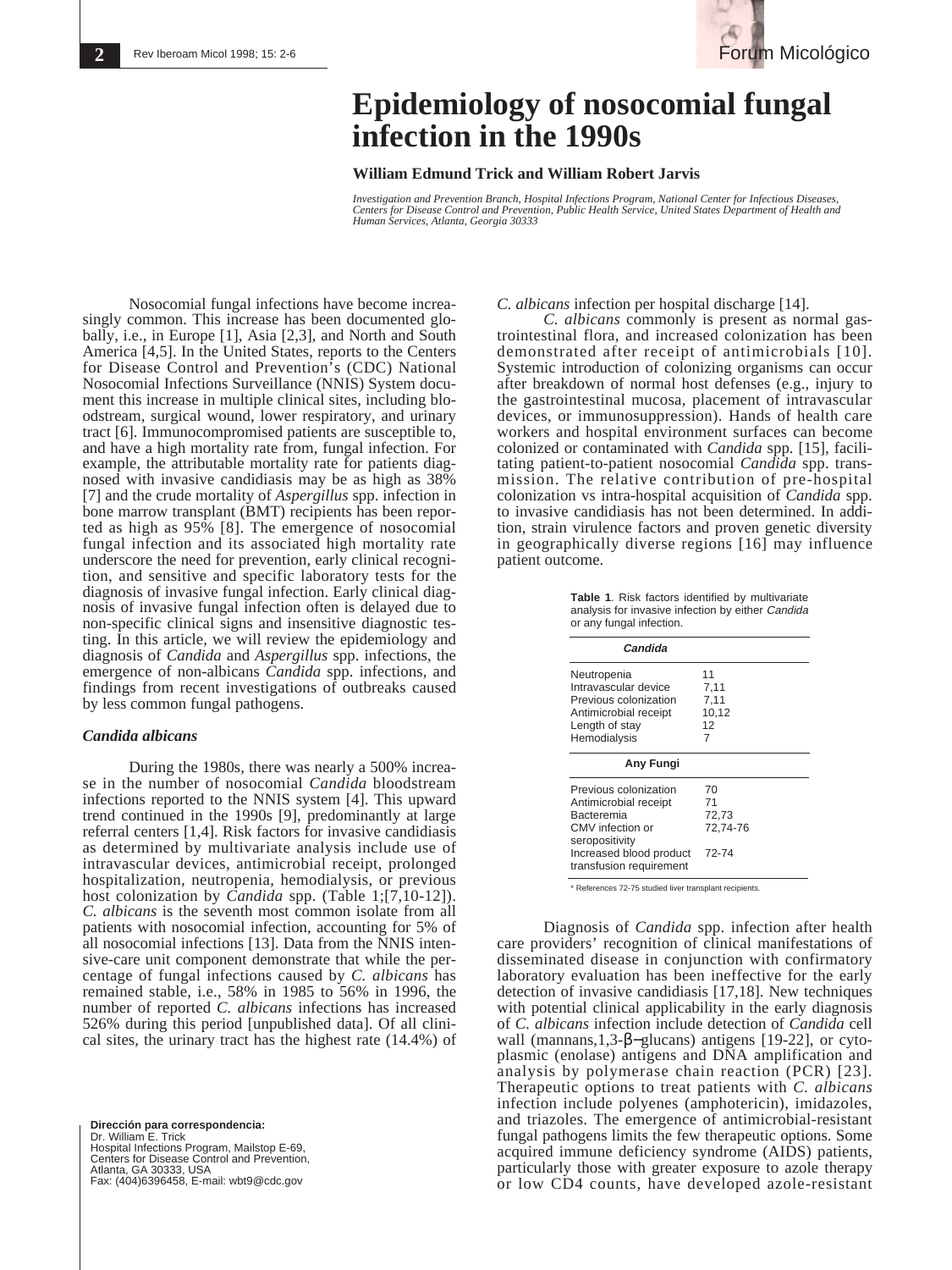

# **Epidemiology of nosocomial fungal infection in the 1990s**

## **William Edmund Trick and William Robert Jarvis**

*Investigation and Prevention Branch, Hospital Infections Program, National Center for Infectious Diseases, Centers for Disease Control and Prevention, Public Health Service, United States Department of Health and Human Services, Atlanta, Georgia 30333*

Nosocomial fungal infections have become increasingly common. This increase has been documented globally, i.e., in Europe [1], Asia [2,3], and North and South America [4,5]. In the United States, reports to the Centers for Disease Control and Prevention's (CDC) National Nosocomial Infections Surveillance (NNIS) System document this increase in multiple clinical sites, including bloodstream, surgical wound, lower respiratory, and urinary tract [6]. Immunocompromised patients are susceptible to, and have a high mortality rate from, fungal infection. For example, the attributable mortality rate for patients diagnosed with invasive candidiasis may be as high as 38% [7] and the crude mortality of *Aspergillus* spp. infection in bone marrow transplant (BMT) recipients has been reported as high as 95% [8]. The emergence of nosocomial fungal infection and its associated high mortality rate underscore the need for prevention, early clinical recognition, and sensitive and specific laboratory tests for the diagnosis of invasive fungal infection. Early clinical diagnosis of invasive fungal infection often is delayed due to non-specific clinical signs and insensitive diagnostic testing. In this article, we will review the epidemiology and diagnosis of *Candida* and *Aspergillus* spp. infections, the emergence of non-albicans *Candida* spp. infections, and findings from recent investigations of outbreaks caused by less common fungal pathogens.

# *Candida albicans*

During the 1980s, there was nearly a 500% increase in the number of nosocomial *Candida* bloodstream infections reported to the NNIS system [4]. This upward trend continued in the 1990s [9], predominantly at large referral centers [1,4]. Risk factors for invasive candidiasis as determined by multivariate analysis include use of intravascular devices, antimicrobial receipt, prolonged hospitalization, neutropenia, hemodialysis, or previous host colonization by *Candida* spp. (Table 1;[7,10-12]). *C. albicans* is the seventh most common isolate from all patients with nosocomial infection, accounting for 5% of all nosocomial infections [13]. Data from the NNIS intensive-care unit component demonstrate that while the percentage of fungal infections caused by *C. albicans* has remained stable, i.e., 58% in 1985 to 56% in 1996, the number of reported *C. albicans* infections has increased 526% during this period [unpublished data]. Of all clinical sites, the urinary tract has the highest rate (14.4%) of

**Dirección para correspondencia:**  Dr. William E. Trick Hospital Infections Program, Mailstop E-69, Centers for Disease Control and Prevention, Atlanta, GA 30333, USA Fax: (404)6396458, E-mail: wbt9@cdc.gov *C. albicans* infection per hospital discharge [14].

*C. albicans* commonly is present as normal gastrointestinal flora, and increased colonization has been demonstrated after receipt of antimicrobials [10]. Systemic introduction of colonizing organisms can occur after breakdown of normal host defenses (e.g., injury to the gastrointestinal mucosa, placement of intravascular devices, or immunosuppression). Hands of health care workers and hospital environment surfaces can become colonized or contaminated with *Candida* spp. [15], facilitating patient-to-patient nosocomial *Candida* spp. transmission. The relative contribution of pre-hospital colonization vs intra-hospital acquisition of *Candida* spp. to invasive candidiasis has not been determined. In addition, strain virulence factors and proven genetic diversity in geographically diverse regions [16] may influence patient outcome.

> **Table 1**. Risk factors identified by multivariate analysis for invasive infection by either Candida or any fungal infection.

| Candida                 |          |  |
|-------------------------|----------|--|
| Neutropenia             | 11       |  |
| Intravascular device    | 7.11     |  |
| Previous colonization   | 7,11     |  |
| Antimicrobial receipt   | 10,12    |  |
| Length of stay          | 12       |  |
| Hemodialysis            | 7        |  |
| Any Fungi               |          |  |
| Previous colonization   | 70       |  |
| Antimicrobial receipt   | 71       |  |
| Bacteremia              | 72,73    |  |
| CMV infection or        | 72.74-76 |  |
| seropositivity          |          |  |
| Increased blood product | 72-74    |  |
| transfusion requirement |          |  |

\* References 72-75 studied liver transplant recipients.

Diagnosis of *Candida* spp. infection after health care providers' recognition of clinical manifestations of disseminated disease in conjunction with confirmatory laboratory evaluation has been ineffective for the early detection of invasive candidiasis [17,18]. New techniques with potential clinical applicability in the early diagnosis of *C. albicans* infection include detection of *Candida* cell wall (mannans,1,3-β−glucans) antigens [19-22], or cytoplasmic (enolase) antigens and DNA amplification and analysis by polymerase chain reaction (PCR) [23]. Therapeutic options to treat patients with *C. albicans* infection include polyenes (amphotericin), imidazoles, and triazoles. The emergence of antimicrobial-resistant fungal pathogens limits the few therapeutic options. Some acquired immune deficiency syndrome (AIDS) patients, particularly those with greater exposure to azole therapy or low CD4 counts, have developed azole-resistant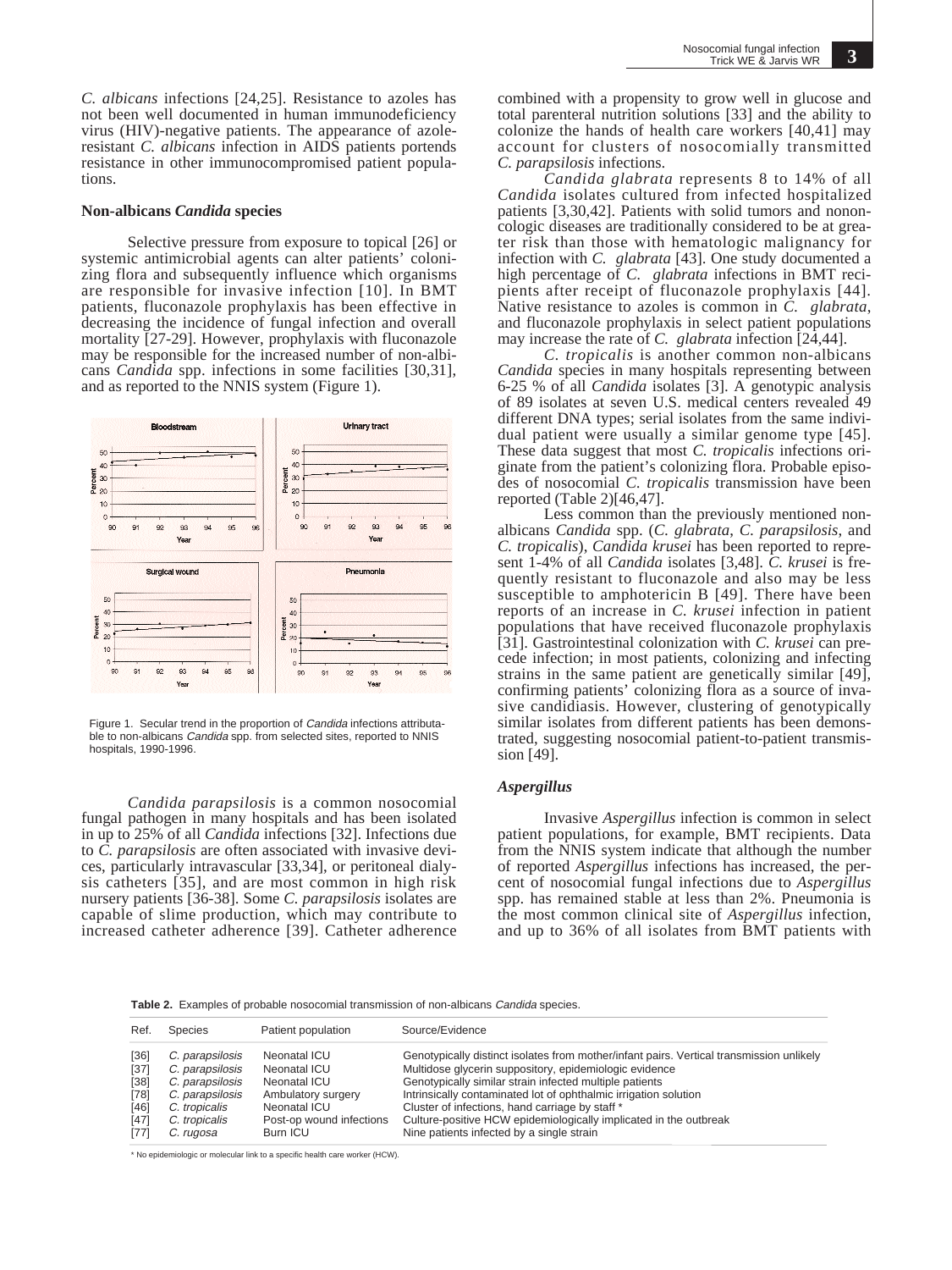*C. albicans* infections [24,25]. Resistance to azoles has not been well documented in human immunodeficiency virus (HIV)-negative patients. The appearance of azoleresistant *C. albicans* infection in AIDS patients portends resistance in other immunocompromised patient populations.

#### **Non-albicans** *Candida* **species**

Selective pressure from exposure to topical [26] or systemic antimicrobial agents can alter patients' colonizing flora and subsequently influence which organisms are responsible for invasive infection [10]. In BMT patients, fluconazole prophylaxis has been effective in decreasing the incidence of fungal infection and overall mortality [27-29]. However, prophylaxis with fluconazole may be responsible for the increased number of non-albicans *Candida* spp. infections in some facilities [30,31], and as reported to the NNIS system (Figure 1).



Figure 1. Secular trend in the proportion of Candida infections attributable to non-albicans Candida spp. from selected sites, reported to NNIS hospitals, 1990-1996.

*Candida parapsilosis* is a common nosocomial fungal pathogen in many hospitals and has been isolated in up to 25% of all *Candida* infections [32]. Infections due to *C. parapsilosis* are often associated with invasive devices, particularly intravascular [33,34], or peritoneal dialysis catheters [35], and are most common in high risk nursery patients [36-38]. Some *C. parapsilosis* isolates are capable of slime production, which may contribute to increased catheter adherence [39]. Catheter adherence combined with a propensity to grow well in glucose and total parenteral nutrition solutions [33] and the ability to colonize the hands of health care workers [40,41] may account for clusters of nosocomially transmitted *C. parapsilosis* infections.

*Candida glabrata* represents 8 to 14% of all *Candida* isolates cultured from infected hospitalized patients [3,30,42]. Patients with solid tumors and nononcologic diseases are traditionally considered to be at greater risk than those with hematologic malignancy for infection with *C. glabrata* [43]. One study documented a high percentage of *C. glabrata* infections in BMT recipients after receipt of fluconazole prophylaxis [44]. Native resistance to azoles is common in *C. glabrata*, and fluconazole prophylaxis in select patient populations may increase the rate of *C. glabrata* infection [24,44].

*C. tropicalis* is another common non-albicans *Candida* species in many hospitals representing between 6-25 % of all *Candida* isolates [3]. A genotypic analysis of 89 isolates at seven U.S. medical centers revealed 49 different DNA types; serial isolates from the same individual patient were usually a similar genome type [45]. These data suggest that most *C. tropicalis* infections originate from the patient's colonizing flora. Probable episodes of nosocomial *C. tropicalis* transmission have been reported (Table 2)[46,47].

Less common than the previously mentioned nonalbicans *Candida* spp. (*C. glabrata*, *C. parapsilosis*, and *C. tropicalis*), *Candida krusei* has been reported to represent 1-4% of all *Candida* isolates [3,48]. *C. krusei* is frequently resistant to fluconazole and also may be less susceptible to amphotericin B [49]. There have been reports of an increase in *C. krusei* infection in patient populations that have received fluconazole prophylaxis [31]. Gastrointestinal colonization with *C. krusei* can precede infection; in most patients, colonizing and infecting strains in the same patient are genetically similar [49], confirming patients' colonizing flora as a source of invasive candidiasis. However, clustering of genotypically similar isolates from different patients has been demonstrated, suggesting nosocomial patient-to-patient transmission [49].

#### *Aspergillus*

Invasive *Aspergillus* infection is common in select patient populations, for example, BMT recipients. Data from the NNIS system indicate that although the number of reported *Aspergillus* infections has increased, the percent of nosocomial fungal infections due to *Aspergillus* spp. has remained stable at less than 2%. Pneumonia is the most common clinical site of *Aspergillus* infection, and up to 36% of all isolates from BMT patients with

**Table 2.** Examples of probable nosocomial transmission of non-albicans Candida species.

| Ref.   | Species         | Patient population       | Source/Evidence                                                                          |
|--------|-----------------|--------------------------|------------------------------------------------------------------------------------------|
| $[36]$ | C. parapsilosis | Neonatal ICU             | Genotypically distinct isolates from mother/infant pairs. Vertical transmission unlikely |
| $[37]$ | C. parapsilosis | Neonatal ICU             | Multidose glycerin suppository, epidemiologic evidence                                   |
| [38]   | C. parapsilosis | Neonatal ICU             | Genotypically similar strain infected multiple patients                                  |
| $[78]$ | C. parapsilosis | Ambulatory surgery       | Intrinsically contaminated lot of ophthalmic irrigation solution                         |
| [46]   | C. tropicalis   | Neonatal ICU             | Cluster of infections, hand carriage by staff *                                          |
| $[47]$ | C. tropicalis   | Post-op wound infections | Culture-positive HCW epidemiologically implicated in the outbreak                        |
| [77]   | C. rugosa       | Burn ICU                 | Nine patients infected by a single strain                                                |

\* No epidemiologic or molecular link to a specific health care worker (HCW).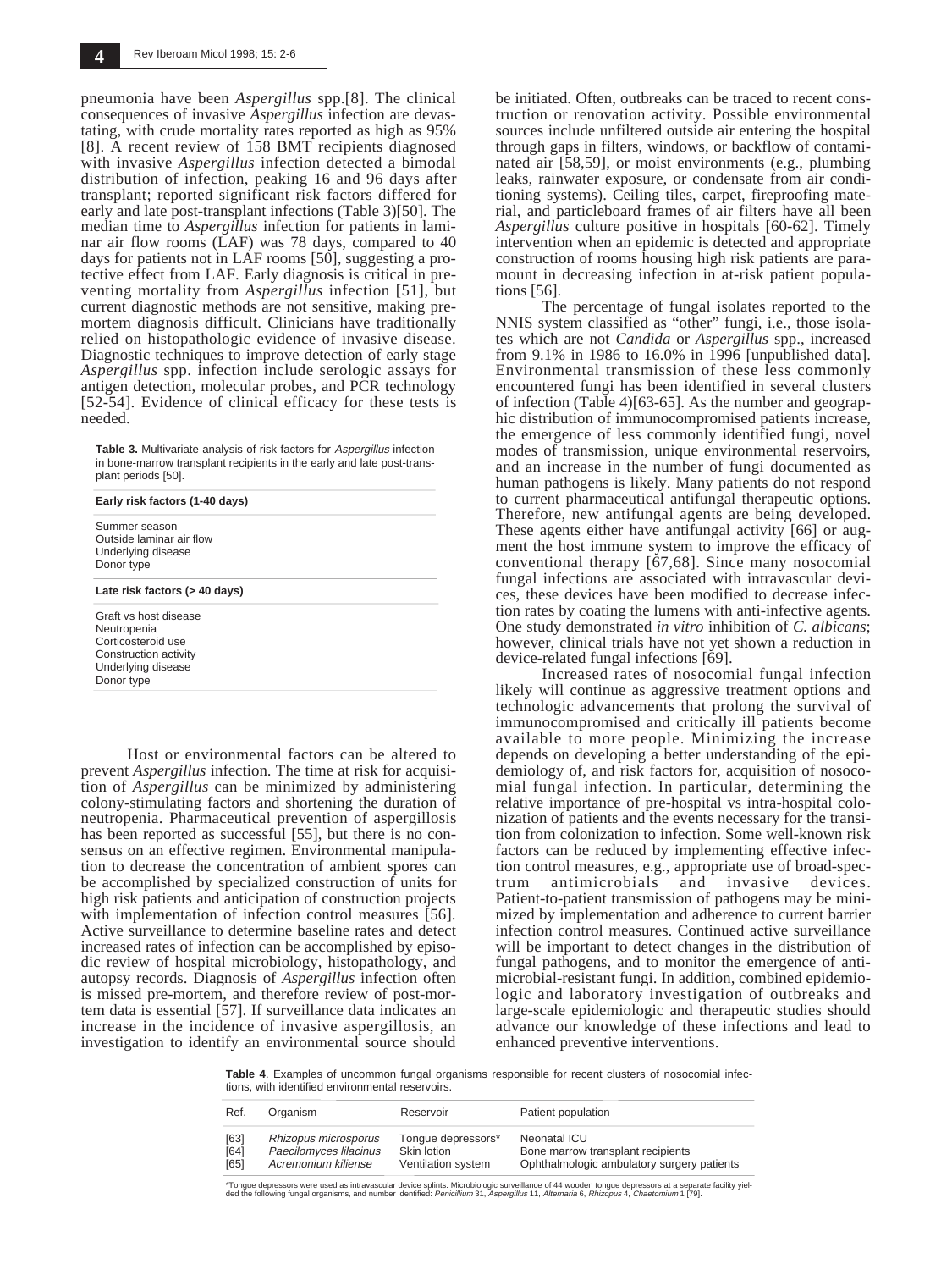pneumonia have been *Aspergillus* spp.[8]. The clinical consequences of invasive *Aspergillus* infection are devastating, with crude mortality rates reported as high as 95% [8]. A recent review of 158 BMT recipients diagnosed with invasive *Aspergillus* infection detected a bimodal distribution of infection, peaking 16 and 96 days after transplant; reported significant risk factors differed for early and late post-transplant infections (Table 3)[50]. The median time to *Aspergillus* infection for patients in laminar air flow rooms (LAF) was 78 days, compared to 40 days for patients not in LAF rooms [50], suggesting a protective effect from LAF. Early diagnosis is critical in preventing mortality from *Aspergillus* infection [51], but current diagnostic methods are not sensitive, making premortem diagnosis difficult. Clinicians have traditionally relied on histopathologic evidence of invasive disease. Diagnostic techniques to improve detection of early stage *Aspergillus* spp. infection include serologic assays for antigen detection, molecular probes, and PCR technology [52-54]. Evidence of clinical efficacy for these tests is needed.

**Table 3.** Multivariate analysis of risk factors for *Aspergillus* infection in bone-marrow transplant recipients in the early and late post-transplant periods [50].

Summer season Outside laminar air flow Underlying disease Donor type

**Late risk factors (> 40 days)**

**Early risk factors (1-40 days)**

Graft vs host disease Neutropenia Corticosteroid use Construction activity Underlying disease Donor type

Host or environmental factors can be altered to prevent *Aspergillus* infection. The time at risk for acquisition of *Aspergillus* can be minimized by administering colony-stimulating factors and shortening the duration of neutropenia. Pharmaceutical prevention of aspergillosis has been reported as successful [55], but there is no consensus on an effective regimen. Environmental manipulation to decrease the concentration of ambient spores can be accomplished by specialized construction of units for high risk patients and anticipation of construction projects with implementation of infection control measures [56]. Active surveillance to determine baseline rates and detect increased rates of infection can be accomplished by episodic review of hospital microbiology, histopathology, and autopsy records. Diagnosis of *Aspergillus* infection often is missed pre-mortem, and therefore review of post-mortem data is essential [57]. If surveillance data indicates an increase in the incidence of invasive aspergillosis, an investigation to identify an environmental source should

be initiated. Often, outbreaks can be traced to recent construction or renovation activity. Possible environmental sources include unfiltered outside air entering the hospital through gaps in filters, windows, or backflow of contaminated air [58,59], or moist environments (e.g., plumbing leaks, rainwater exposure, or condensate from air conditioning systems). Ceiling tiles, carpet, fireproofing material, and particleboard frames of air filters have all been *Aspergillus* culture positive in hospitals [60-62]. Timely intervention when an epidemic is detected and appropriate construction of rooms housing high risk patients are paramount in decreasing infection in at-risk patient populations [56].

The percentage of fungal isolates reported to the NNIS system classified as "other" fungi, i.e., those isolates which are not *Candida* or *Aspergillus* spp., increased from 9.1% in 1986 to 16.0% in 1996 [unpublished data]. Environmental transmission of these less commonly encountered fungi has been identified in several clusters of infection (Table 4)[63-65]. As the number and geographic distribution of immunocompromised patients increase, the emergence of less commonly identified fungi, novel modes of transmission, unique environmental reservoirs, and an increase in the number of fungi documented as human pathogens is likely. Many patients do not respond to current pharmaceutical antifungal therapeutic options. Therefore, new antifungal agents are being developed. These agents either have antifungal activity [66] or augment the host immune system to improve the efficacy of conventional therapy [67,68]. Since many nosocomial fungal infections are associated with intravascular devices, these devices have been modified to decrease infection rates by coating the lumens with anti-infective agents. One study demonstrated *in vitro* inhibition of *C. albicans*; however, clinical trials have not yet shown a reduction in device-related fungal infections [69].

Increased rates of nosocomial fungal infection likely will continue as aggressive treatment options and technologic advancements that prolong the survival of immunocompromised and critically ill patients become available to more people. Minimizing the increase depends on developing a better understanding of the epidemiology of, and risk factors for, acquisition of nosocomial fungal infection. In particular, determining the relative importance of pre-hospital vs intra-hospital colonization of patients and the events necessary for the transition from colonization to infection. Some well-known risk factors can be reduced by implementing effective infection control measures, e.g., appropriate use of broad-spectrum antimicrobials and invasive devices. Patient-to-patient transmission of pathogens may be minimized by implementation and adherence to current barrier infection control measures. Continued active surveillance will be important to detect changes in the distribution of fungal pathogens, and to monitor the emergence of antimicrobial-resistant fungi. In addition, combined epidemiologic and laboratory investigation of outbreaks and large-scale epidemiologic and therapeutic studies should advance our knowledge of these infections and lead to enhanced preventive interventions.

**Table 4**. Examples of uncommon fungal organisms responsible for recent clusters of nosocomial infections, with identified environmental reservoirs.

| Ref. | Organism               | Reservoir          | Patient population                         |
|------|------------------------|--------------------|--------------------------------------------|
| [63] | Rhizopus microsporus   | Tonque depressors* | Neonatal ICU                               |
| [64] | Paecilomyces lilacinus | Skin lotion        | Bone marrow transplant recipients          |
| [65] | Acremonium kiliense    | Ventilation system | Ophthalmologic ambulatory surgery patients |

\*Tongue depressors were used as intravascular device splints. Microbiologic surveillance of 44 wooden tongue depressors at a separate facility yiel-<br>ded the following fungal organisms, and number identified: *Penicillium*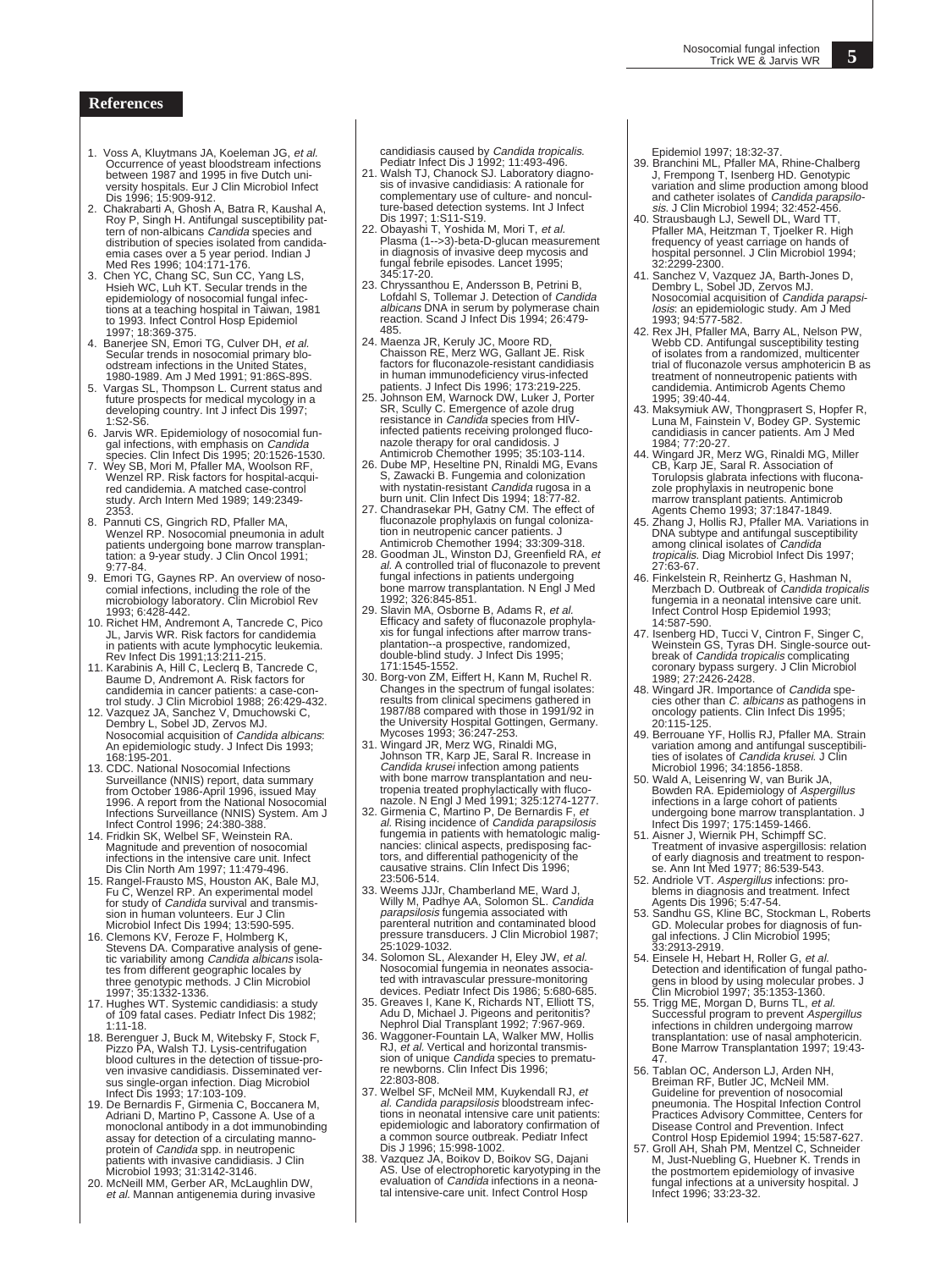### **References**

- 1. Voss A, Kluytmans JA, Koeleman JG, et al. Occurrence of yeast bloodstream infections<br>between 1987 and 1995 in five Dutch uni-<br>versity hospitals. Eur J Clin Microbiol Infect<br>Dis 1996; 15:909-912.<br>2. Chakrabarti A, Ghosh A, Batra R, Kaushal A,<br>Roy P, Singh H. Antifu
- tern of non-albicans Candida species and distribution of species isolated from candida-emia cases over a 5 year period. Indian J Med Res 1996; 104:171-176. 3. Chen YC, Chang SC, Sun CC, Yang LS, Hsieh WC, Luh KT. Secular trends in the
- epidemiology of nosocomial fungal infec-<br>tions at a teaching hospital in Taiwan, 1981<br>to 1993. Infect Control Hosp Epidemiol<br>1997; 18:369-375.<br>4. Banerjee SN, Emori TG, Culver DH, *et al.*
- Secular trends in nosocomial primary blo-odstream infections in the United States, 1980-1989. Am J Med 1991; 91:86S-89S.
- 5. Vargas SL, Thompson L. Current status and future prospects for medical mycology in a developing country. Int J infect Dis 1997; 1.S2-S6
- 6. Jarvis WR. Epidemiology of nosocomial fungal infections, with emphasis on *Candida*<br>species. Clin Infect Dis 1995; 20:1526-1530.<br>7. Wey SB, Mori M, Pfaller MA, Woolson RF,
- Wenzel RP. Risk factors for hospital-acquired candidemia. A matched case-control study. Arch Intern Med 1989; 149:2349-
- 2353. 8. Pannuti CS, Gingrich RD, Pfaller MA, Wenzel RP. Nosocomial pneumonia in adult patients undergoing bone marrow transplan-tation: a 9-year study. J Clin Oncol 1991;  $9.77 - 84$
- 9. Emori TG, Gaynes RP. An overview of noso-comial infections, including the role of the microbiology laboratory. Clin Microbiol Rev
- 1993; 6:428-442. 10. Richet HM, Andremont A, Tancrede C, Pico JL, Jarvis WR. Risk factors for candidemia in patients with acute lymphocytic leukemia. Rev Infect Dis 1991;13:211-215. 11. Karabinis A, Hill C, Leclerq B, Tancrede C,
- Baume D, Andremont A. Risk factors for candidemia in cancer patients: a case-con-
- trol study. J Clin Microbiol 1988; 26:429-432. 12. Vazquez JA, Sanchez V, Dmuchowski C, Dembry L, Sobel JD, Zervos MJ. Nosocomial acquisition of Candida albicans: An epidemiologic study. J Infect Dis 1993; 168:195-201.
- 13. CDC. National Nosocomial Infections Surveillance (NNIS) report, data summary<br>from October 1986-April 1996, issued May<br>1996. A report from the National Nosocomial<br>Infections Surveillance (NNIS) System. Am J<br>Infect Control 1996; 24:380-388.<br>14. Fridkin SK, Wel
- infections in the intensive care unit. Infect Dis Clin North Am 1997; 11:479-496.
- 15. Rangel-Frausto MS, Houston AK, Bale MJ, Fu C, Wenzel RP. An experimental model for study of Candida survival and transmission in human volunteers. Eur J Clin Microbiol Infect Dis 1994; 13:590-595. 16. Clemons KV, Feroze F, Holmberg K,
- Stevens DA. Comparative analysis of genetic variability among *Candida albicans* isola-<br>tes from different geographic locales by three genotypic methods. J Clin Microbiol 1997; 35:1332-1336.
- 17. Hughes WT. Systemic candidiasis: a study of 109 fatal cases. Pediatr Infect Dis 1982; 1:11-18.
- 18. Berenguer J, Buck M, Witebsky F, Stock F, Pizzo PA, Walsh TJ. Lysis-centrifugation blood cultures in the detection of tissue-proven invasive candidiasis. Disseminated ver-
- sus single-organ infection. Diag Microbiol Infect Dis 1993; 17:103-109. 19. De Bernardis F, Girmenia C, Boccanera M, Adriani D, Martino P, Cassone A. Use of a monoclonal antibody in a dot immunobinding assay for detection of a circulating mannoprotein of *Candida* spp. in neutropenic<br>patients with invasive candidiasis. J Clin
- Microbiol 1993; 31:3142-3146. 20. McNeill MM, Gerber AR, McLaughlin DW, et al. Mannan antigenemia during invasive

candidiasis caused by *Candida tropicalis.*<br>Pediatr Infect Dis J 1992; 11:493-496.<br>21. Walsh TJ, Chanock SJ. Laboratory diagno-

- sis of invasive candidiasis: A rationale for complementary use of culture- and nonculture-based detection systems. Int J Infect Dis 1997; 1:S11-S19.
- 22. Obayashi T, Yoshida M, Mori T, et al. Plasma (1-->3)-beta-D-glucan measurement in diagnosis of invasive deep mycosis and fungal febrile episodes. Lancet 1995; 345:17-20.
- 23. Chryssanthou E, Andersson B, Petrini B, Lofdahl S, Tollemar J. Detection of *Candida*<br>*albicans* DNA in serum by polymerase chain<br>reaction. Scand J Infect Dis 1994; 26:479-.....<br>485
- 24. Maenza JR, Keruly JC, Moore RD, Chaisson RE, Merz WG, Gallant JE. Risk factors for fluconazole-resistant candidiasis in human immunodeficiency virus-infected patients. J Infect Dis 1996; 173:219-225.
- 25. Johnson EM, Warnock DW, Luker J, Porter SR, Scully C. Emergence of azole drug resistance in Candida species from HIVinfected patients receiving prolonged fluconazole therapy for oral candidosis. J Antimicrob Chemother 1995; 35:103-114.
- 26. Dube MP, Heseltine PN, Rinaldi MG, Evans S, Zawacki B. Fungemia and colonization
- with nystatin-resistant *Candida* rugosa in a<br>burn unit. Clin Infect Dis 1994; 18:77-82.<br>27. Chandrasekar PH, Gatny CM. The effect of<br>fluconazole prophylaxis on fungal colonization in neutropenic cancer patients. J Antimicrob Chemother 1994; 33:309-318.
- 28. Goodman JL, Winston DJ, Greenfield RA, et al. A controlled trial of fluconazole to prevent<br>fungal infections in patients undergoing bone marrow transplantation. N Engl J Med
- 1992; 326:845-851. 29. Slavin MA, Osborne B, Adams R, et al. Efficacy and safety of fluconazole prophylaxis for fungal infections after marrow trans-plantation--a prospective, randomized, double-blind study. J Infect Dis 1995; 171:1545-1552.
- 30. Borg-von ZM, Eiffert H, Kann M, Ruchel R. Changes in the spectrum of fungal isolates: results from clinical specimens gathered in 1987/88 compared with those in 1991/92 in the University Hospital Gottingen, Germany. Mycoses 1993; 36:247-253.
- 31. Wingard JR, Merz WG, Rinaldi MG, Johnson TR, Karp JE, Saral R. Increase in<br>*Candida krusei* infection among patients<br>with bone marrow transplantation and neu-
- tropenia treated prophylactically with fluco-<br>nazole. N Engl J Med 1991; 325:1274-1277.<br>32. Girmenia C, Martino P, De Bernardis F, et<br>al. Rising incidence of *Candida parapsilosis*<br>fungemia in patients with hematologic mal nancies: clinical aspects, predisposing fac-tors, and differential pathogenicity of the causative strains. Clin Infect Dis 1996; 23:506-514.
- 33. Weems JJJr, Chamberland ME, Ward J, Willy M, Padhye AA, Solomon SL. Candida parapsilosis fungemia associated with parenteral nutrition and contaminated blood pressure transducers. J Clin Microbiol 1987; 25:1029-1032.
- 34. Solomon SL, Alexander H, Eley JW, et al. Nosocomial fungemia in neonates associated with intravascular pressure-monitoring devices. Pediatr Infect Dis 1986; 5:680-685.
- 35. Greaves I, Kane K, Richards NT, Elliott TS, Adu D, Michael J. Pigeons and peritonitis? Nephrol Dial Transplant 1992; 7:967-969.
- 36. Waggoner-Fountain LA, Walker MW, Hollis RJ, et al. Vertical and horizontal transmission of unique *Candida* species to prematu-<br>re newborns. Clin Infect Dis 1996;<br>22:803-808.
- 37. Welbel SF, McNeil MM, Kuykendall RJ, et al. Candida parapsilosis bloodstream infec-<br>tions in neonatal intensive care unit patients: epidemiologic and laboratory confirmation of a common source outbreak. Pediatr Infect Dis J 1996; 15:998-1002.
- 38. Vazquez JA, Boikov D, Boikov SG, Dajani AS. Use of electrophoretic karyotyping in the<br>evaluation of *Candida* infections in a neonatal intensive-care unit. Infect Control Hosp

Epidemiol 1997; 18:32-37.

- 39. Branchini ML, Pfaller MA, Rhine-Chalberg J, Frempong T, Isenberg HD. Genotypic variation and slime production among blood and catheter isolates of Candida parapsilo-sis. J Clin Microbiol 1994; 32:452-456.
- 40. Strausbaugh LJ, Sewell DL, Ward TT, Pfaller MA, Heitzman T, Tjoelker R. High frequency of yeast carriage on hands of hospital personnel. J Clin Microbiol 1994; 32:2299-2300.
- 41. Sanchez V, Vazquez JA, Barth-Jones D, Dembry L, Sobel JD, Zervos MJ. Nosocomial acquisition of *Candida parapsi-<br><i>losis*: an epidemiologic study. Am J Med<br>1993; 94:577-582.
- 42. Rex JH, Pfaller MA, Barry AL, Nelson PW, Webb CD. Antifungal susceptibility testing of isolates from a randomized, multicenter trial of fluconazole versus amphotericin B as treatment of nonneutropenic patients with candidemia. Antimicrob Agents Chemo 1995; 39:40-44.
- 43. Maksymiuk AW, Thongprasert S, Hopfer R, Luna M, Fainstein V, Bodey GP. Systemic candidiasis in cancer patients. Am J Med
- 1984; 77:20-27. 44. Wingard JR, Merz WG, Rinaldi MG, Miller CB, Karp JE, Saral R. Association of Torulopsis glabrata infections with flucona-zole prophylaxis in neutropenic bone marrow transplant patients. Antimicrob Agents Chemo 1993; 37:1847-1849. 45. Zhang J, Hollis RJ, Pfaller MA. Variations in
- DNA subtype and antifungal susceptibility among clinical isolates of Candida tropicalis. Diag Microbiol Infect Dis 1997; 27:63-67.
- 46. Finkelstein R, Reinhertz G, Hashman N, Merzbach D. Outbreak of Candida tropicalis fungemia in a neonatal intensive care unit. Infect Control Hosp Epidemiol 1993; 14:587-590.
- 47. Isenberg HD, Tucci V, Cintron F, Singer C,<br>Weinstein GS, Tyras DH. Single-source out-<br>break of *Candida tropicalis* complicating coronary bypass surgery. J Clin Microbiol 1989; 27:2426-2428.
- 48. Wingard JR. Importance of *Candida* spe cies other than *C. albicans* as pathogens in<br>oncology patients. Clin Infect Dis 1995;<br>20:115-125.
- 49. Berrouane YF, Hollis RJ, Pfaller MA. Strain variation among and antifungal susceptibilities of isolates of *Candida krusei*. J Clin<br>Microbiol 1996; 34:1856-1858.<br>50. Wald A, Leisenring W, van Burik JA,
- Bowden RA. Epidemiology of Aspergillus infections in a large cohort of patients undergoing bone marrow transplantation. J
- Infect Dis 1997; 175:1459-1466. 51. Aisner J, Wiernik PH, Schimpff SC. Treatment of invasive aspergillosis: relation of early diagnosis and treatment to respon-se. Ann Int Med 1977; 86:539-543.
- 52. Andriole VT. Aspergillus infections: problems in diagnosis and treatment. Infect Agents Dis 1996; 5:47-54. 53. Sandhu GS, Kline BC, Stockman L, Roberts
- GD. Molecular probes for diagnosis of fun-gal infections. J Clin Microbiol 1995; 33:2913-2919.
- 54. Einsele H, Hebart H, Roller G, et al.<br>Detection and identification of fungal pathogens in blood by using molecular probes. J<br>Clin Microbiol 1997; 35:1353-1360.<br>55. Trigg ME, Morgan D, Burns TL, *et al.*
- Successful program to prevent *Aspergillus*<br>infections in children undergoing marrow<br>transplantation: use of nasal amphotericin. Bone Marrow Transplantation 1997; 19:43-
- 47.<br>
66. Tablan OC, Anderson LJ, Arden NH,<br>
Breiman RF, Butler JC, McNeil MM.<br>
Guideline for prevention of nosocomial<br>
pneumonia. The Hospital Infection Control<br>
Practices Advisory Committee, Centers for<br>
Disease Control a
- Control Hosp Epidemiol 1994; 15:587-627. 57. Groll AH, Shah PM, Mentzel C, Schneider M, Just-Nuebling G, Huebner K. Trends in the postmortem epidemiology of invasive fungal infections at a university hospital. J Infect 1996; 33:23-32.